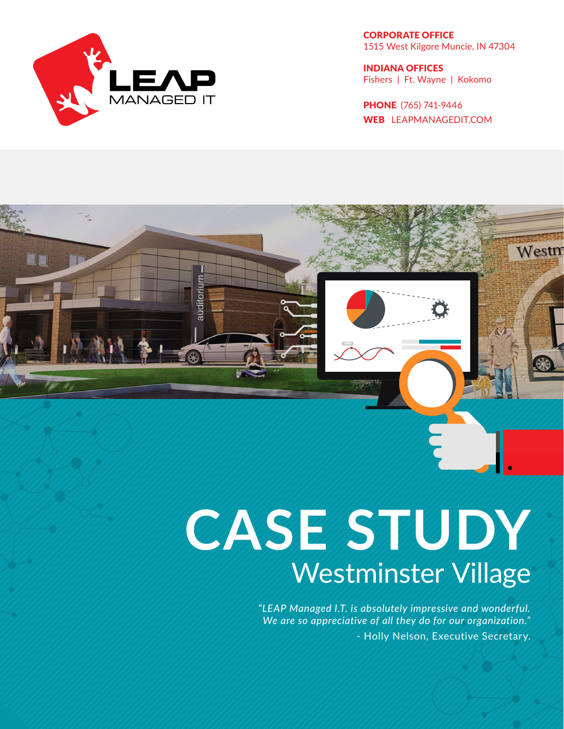

auditorium

96

CORPORATE OFFICE 1515 West Kilgore Muncie, IN 47304

INDIANA OFFICES Fishers | Ft. Wayne | Kokomo

PHONE (765) 741-9446 WEB LEAPMANAGEDIT.COM

Westm

# **CASE STUDY** Westminster Village

*"LEAP Managed I.T. is absolutely impressive and wonderful. We are so appreciative of all they do for our organization."* - Holly Nelson, Executive Secretary.